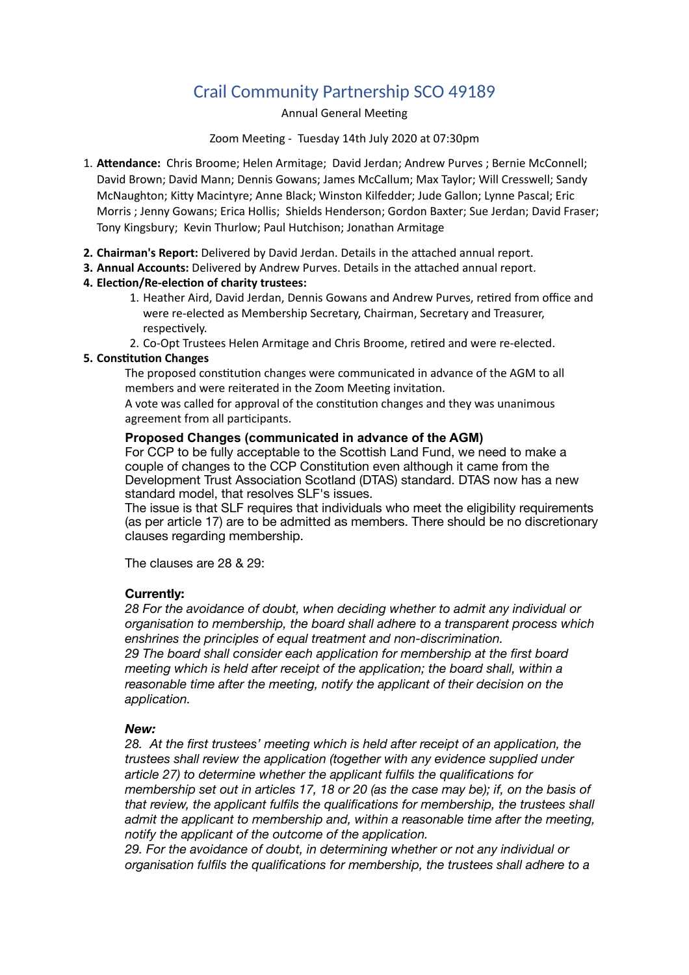# Crail Community Partnership SCO 49189

## Annual General Meeting

#### Zoom Meeting - Tuesday 14th July 2020 at 07:30pm

- 1. **A"endance:** Chris Broome; Helen Armitage; David Jerdan; Andrew Purves ; Bernie McConnell; David Brown; David Mann; Dennis Gowans; James McCallum; Max Taylor; Will Cresswell; Sandy McNaughton; Kitty Macintyre; Anne Black; Winston Kilfedder; Jude Gallon; Lynne Pascal; Eric Morris ; Jenny Gowans; Erica Hollis; Shields Henderson; Gordon Baxter; Sue Jerdan; David Fraser; Tony Kingsbury; Kevin Thurlow; Paul Hutchison; Jonathan Armitage
- **2. Chairman's Report:** Delivered by David Jerdan. Details in the attached annual report.
- **3. Annual Accounts:** Delivered by Andrew Purves. Details in the attached annual report.

## 4. Election/Re-election of charity trustees:

- 1. Heather Aird, David Jerdan, Dennis Gowans and Andrew Purves, retired from office and were re-elected as Membership Secretary, Chairman, Secretary and Treasurer, respectively.
- 2. Co-Opt Trustees Helen Armitage and Chris Broome, retired and were re-elected.

### **5. Constitution Changes**

The proposed constitution changes were communicated in advance of the AGM to all members and were reiterated in the Zoom Meeting invitation.

A vote was called for approval of the constitution changes and they was unanimous agreement from all participants.

### **Proposed Changes (communicated in advance of the AGM)**

For CCP to be fully acceptable to the Scottish Land Fund, we need to make a couple of changes to the CCP Constitution even although it came from the Development Trust Association Scotland (DTAS) standard. DTAS now has a new standard model, that resolves SLF's issues.

The issue is that SLF requires that individuals who meet the eligibility requirements (as per article 17) are to be admitted as members. There should be no discretionary clauses regarding membership.

The clauses are 28 & 29:

### **Currently:**

*28 For the avoidance of doubt, when deciding whether to admit any individual or organisation to membership, the board shall adhere to a transparent process which enshrines the principles of equal treatment and non-discrimination. 29 The board shall consider each application for membership at the first board* 

*meeting which is held after receipt of the application; the board shall, within a reasonable time after the meeting, notify the applicant of their decision on the application.*

### *New:*

28. At the first trustees' meeting which is held after receipt of an application, the *trustees shall review the application (together with any evidence supplied under article 27) to determine whether the applicant fulfils the qualifications for membership set out in articles 17, 18 or 20 (as the case may be); if, on the basis of that review, the applicant fulfils the qualifications for membership, the trustees shall admit the applicant to membership and, within a reasonable time after the meeting, notify the applicant of the outcome of the application.*

*29. For the avoidance of doubt, in determining whether or not any individual or organisation fulfils the qualifications for membership, the trustees shall adhere to a*